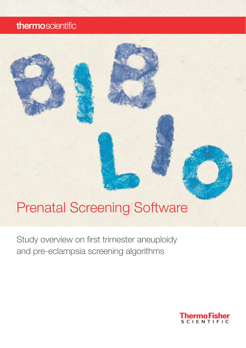# thermoscientific

# Prenatal Screening Software

Study overview on first trimester aneuploidy and pre-eclampsia screening algorithms

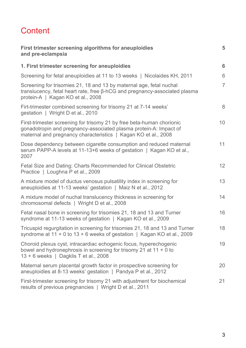# **Content**

| First trimester screening algorithms for aneuploidies<br>and pre-eclampsia                                                                                                                                   | 5              |
|--------------------------------------------------------------------------------------------------------------------------------------------------------------------------------------------------------------|----------------|
| 1. First trimester screening for aneuploidies                                                                                                                                                                | 6              |
| Screening for fetal aneuploidies at 11 to 13 weeks   Nicolaides KH, 2011                                                                                                                                     | 6              |
| Screening for trisomies 21, 18 and 13 by maternal age, fetal nuchal<br>translucency, fetal heart rate, free β-hCG and pregnancy-associated plasma<br>protein-A   Kagan KO et al., 2008                       | $\overline{7}$ |
| Firt-trimester combined screening for trisomy 21 at 7-14 weeks'<br>gestation   Wright D et al., 2010                                                                                                         | 8              |
| First-trimester screening for trisomy 21 by free beta-human chorionic<br>gonadotropin and pregnancy-associated plasma protein-A: Impact of<br>maternal and pregnancy characteristics   Kagan KO et al., 2008 | 10             |
| Dose dependency between cigarette consumption and reduced maternal<br>serum PAPP-A levels at 11-13+6 weeks of gestation   Kagan KO et al.,<br>2007                                                           | 11             |
| Fetal Size and Dating: Charts Recommended for Clinical Obstetric<br>Practice   Loughna P et al., 2009                                                                                                        | 12             |
| A mixture model of ductus venosus pulsatility index in screening for<br>aneuploidies at 11-13 weeks' gestation   Maiz N et al., 2012                                                                         | 13             |
| A mixture model of nuchal translucency thickness in screening for<br>chromosomal defects   Wright D et al., 2008                                                                                             | 14             |
| Fetal nasal bone in screening for trisomies 21, 18 and 13 and Turner<br>syndrome at 11-13 weeks of gestation   Kagan KO et al., 2009                                                                         | 16             |
| Tricuspid regurgitation in screening for trisomies 21, 18 and 13 and Turner<br>syndrome at $11 + 0$ to $13 + 6$ weeks of gestation   Kagan KO et al., 2009                                                   | 18             |
| Choroid plexus cyst, intracardiac echogenic focus, hyperechogenic<br>bowel and hydronephrosis in screening for trisomy 21 at $11 + 0$ to<br>13 + 6 weeks   Dagklis T et al., 2008                            | 19             |
| Maternal serum placental growth factor in prospective screening for<br>aneuploidies at 8-13 weeks' gestation   Pandya P et al., 2012                                                                         | 20             |
| First-trimester screening for trisomy 21 with adjustment for biochemical<br>results of previous pregnancies   Wright D et al., 2011                                                                          | 21             |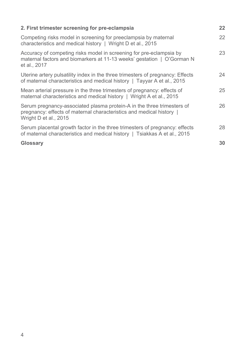| 2. First trimester screening for pre-eclampsia                                                                                                                          | $22 \overline{ }$ |
|-------------------------------------------------------------------------------------------------------------------------------------------------------------------------|-------------------|
| Competing risks model in screening for preeclampsia by maternal<br>characteristics and medical history   Wright D et al., 2015                                          | 22                |
| Accuracy of competing risks model in screening for pre-eclampsia by<br>maternal factors and biomarkers at 11-13 weeks' gestation   O'Gorman N<br>et al., 2017           | 23                |
| Uterine artery pulsatility index in the three trimesters of pregnancy: Effects<br>of maternal characteristics and medical history   Tayyar A et al., 2015               | 24                |
| Mean arterial pressure in the three trimesters of pregnancy: effects of<br>maternal characteristics and medical history   Wright A et al., 2015                         | 25                |
| Serum pregnancy-associated plasma protein-A in the three trimesters of<br>pregnancy: effects of maternal characteristics and medical history  <br>Wright D et al., 2015 | 26                |
| Serum placental growth factor in the three trimesters of pregnancy: effects<br>of maternal characteristics and medical history   Tsiakkas A et al., 2015                | 28                |
| <b>Glossary</b>                                                                                                                                                         | 30                |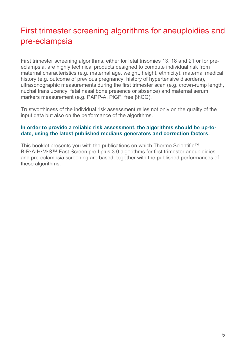# First trimester screening algorithms for aneuploidies and pre-eclampsia

First trimester screening algorithms, either for fetal trisomies 13, 18 and 21 or for preeclampsia, are highly technical products designed to compute individual risk from maternal characteristics (e.g. maternal age, weight, height, ethnicity), maternal medical history (e.g. outcome of previous pregnancy, history of hypertensive disorders), ultrasonographic measurements during the first trimester scan (e.g. crown-rump length, nuchal translucency, fetal nasal bone presence or absence) and maternal serum markers measurement (e.g. PAPP-A, PlGF, free βhCG).

Trustworthiness of the individual risk assessment relies not only on the quality of the input data but also on the performance of the algorithms.

#### **In order to provide a reliable risk assessment, the algorithms should be up-todate, using the latest published medians generators and correction factors.**

This booklet presents you with the publications on which Thermo Scientific™ B·R·A·H·M·S™ Fast Screen pre I plus 3.0 algorithms for first trimester aneuploidies and pre-eclampsia screening are based, together with the published performances of these algorithms.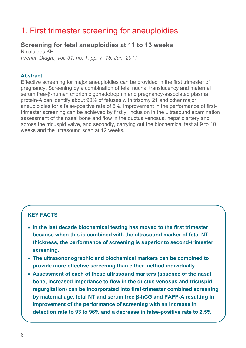# 1. First trimester screening for aneuploidies

# **Screening for fetal aneuploidies at 11 to 13 weeks**

Nicolaides KH *Prenat. Diagn., vol. 31, no. 1, pp. 7–15, Jan. 2011* 

#### **Abstract**

Effective screening for major aneuploidies can be provided in the first trimester of pregnancy. Screening by a combination of fetal nuchal translucency and maternal serum free-β-human chorionic gonadotrophin and pregnancy-associated plasma protein-A can identify about 90% of fetuses with trisomy 21 and other major aneuploidies for a false-positive rate of 5%. Improvement in the performance of firsttrimester screening can be achieved by firstly, inclusion in the ultrasound examination assessment of the nasal bone and flow in the ductus venosus, hepatic artery and across the tricuspid valve, and secondly, carrying out the biochemical test at 9 to 10 weeks and the ultrasound scan at 12 weeks.

- **In the last decade biochemical testing has moved to the first trimester because when this is combined with the ultrasound marker of fetal NT thickness, the performance of screening is superior to second-trimester screening.**
- **The ultrasononographic and biochemical markers can be combined to provide more effective screening than either method individually.**
- **Assessment of each of these ultrasound markers (absence of the nasal bone, increased impedance to flow in the ductus venosus and tricuspid regurgitation) can be incorporated into first-trimester combined screening by maternal age, fetal NT and serum free β-hCG and PAPP-A resulting in improvement of the performance of screening with an increase in detection rate to 93 to 96% and a decrease in false-positive rate to 2.5%**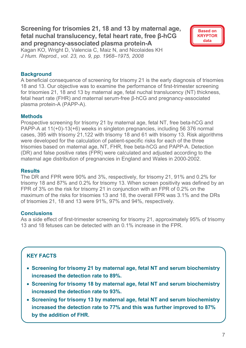# **Screening for trisomies 21, 18 and 13 by maternal age, fetal nuchal translucency, fetal heart rate, free β-hCG and pregnancy-associated plasma protein-A**



Kagan KO, Wright D, Valencia C, Maiz N, and Nicolaides KH *J Hum. Reprod., vol. 23, no. 9, pp. 1968–1975, 2008* 

# **Background**

A beneficial consequence of screening for trisomy 21 is the early diagnosis of trisomies 18 and 13. Our objective was to examine the performance of first-trimester screening for trisomies 21, 18 and 13 by maternal age, fetal nuchal translucency (NT) thickness, fetal heart rate (FHR) and maternal serum-free β-hCG and pregnancy-associated plasma protein-A (PAPP-A).

#### **Methods**

Prospective screening for trisomy 21 by maternal age, fetal NT, free beta-hCG and PAPP-A at 11(+0)-13(+6) weeks in singleton pregnancies, including 56 376 normal cases, 395 with trisomy 21,122 with trisomy 18 and 61 with trisomy 13. Risk algorithms were developed for the calculation of patient-specific risks for each of the three trisomies based on maternal age, NT, FHR, free beta-hCG and PAPP-A. Detection (DR) and false positive rates (FPR) were calculated and adjusted according to the maternal age distribution of pregnancies in England and Wales in 2000-2002.

#### **Results**

The DR and FPR were 90% and 3%, respectively, for trisomy 21, 91% and 0.2% for trisomy 18 and 87% and 0.2% for trisomy 13. When screen positivity was defined by an FPR of 3% on the risk for trisomy 21 in conjunction with an FPR of 0.2% on the maximum of the risks for trisomies 13 and 18, the overall FPR was 3.1% and the DRs of trisomies 21, 18 and 13 were 91%, 97% and 94%, respectively.

# **Conclusions**

As a side effect of first-trimester screening for trisomy 21, approximately 95% of trisomy 13 and 18 fetuses can be detected with an 0.1% increase in the FPR.

- **Screening for trisomy 21 by maternal age, fetal NT and serum biochemistry increased the detection rate to 89%.**
- **Screening for trisomy 18 by maternal age, fetal NT and serum biochemistry increased the detection rate to 93%.**
- **Screening for trisomy 13 by maternal age, fetal NT and serum biochemistry increased the detection rate to 77% and this was further improved to 87% by the addition of FHR.**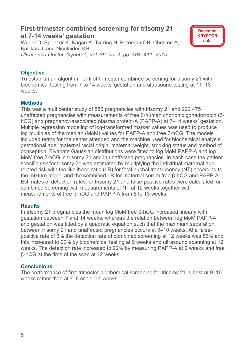# **First-trimester combined screening for trisomy 21 at 7-14 weeks' gestation**

Wright D, Spencer K, Kagan K, Tørring N, Petersen OB, Christou A, Kallikas J, and Nicolaides KH *Ultrasound Obstet. Gynecol., vol. 36, no. 4, pp. 404–411, 2010* 



# **Objective**

To establish an algorithm for first-trimester combined screening for trisomy 21 with biochemical testing from 7 to 14 weeks' gestation and ultrasound testing at 11–13 weeks.

#### **Methods**

This was a multicenter study of 886 pregnancies with trisomy 21 and 222 475 unaffected pregnancies with measurements of free β-human chorionic gonadotropin (βhCG) and pregnancy-associated plasma protein-A (PAPP-A) at 7–14 weeks' gestation. Multiple regression modeling of log-transformed marker values was used to produce log multiples of the median (MoM) values for PAPP-A and free β-hCG. The models included terms for the center attended and the machine used for biochemical analysis, gestational age, maternal racial origin, maternal weight, smoking status and method of conception. Bivariate Gaussian distributions were fitted to log MoM PAPP-A and log MoM free β-hCG in trisomy 21 and in unaffected pregnancies. In each case the patientspecific risk for trisomy 21 was estimated by multiplying the individual maternal agerelated risk with the likelihood ratio (LR) for fetal nuchal translucency (NT) according to the mixture model and the combined LR for maternal serum free β-hCG and PAPP-A. Estimates of detection rates for trisomy 21 and false-positive rates were calculated for combined screening with measurements of NT at 12 weeks together with measurements of free β-hCG and PAPP-A from 8 to 13 weeks.

#### **Results**

In trisomy 21 pregnancies the mean log MoM free β-hCG increased linearly with gestation between 7 and 14 weeks, whereas the relation between log MoM PAPP-A and gestation was fitted by a quadratic equation such that the maximum separation between trisomy 21 and unaffected pregnancies occurs at 9–10 weeks. At a falsepositive rate of 3% the detection rate of combined screening at 12 weeks was 86% and this increased to 90% by biochemical testing at 9 weeks and ultrasound scanning at 12 weeks. The detection rate increased to 92% by measuring PAPP-A at 9 weeks and free β-hCG at the time of the scan at 12 weeks.

#### **Conclusions**

The performance of first-trimester biochemical screening for trisomy 21 is best at 9–10 weeks rather than at 7–8 or 11–14 weeks.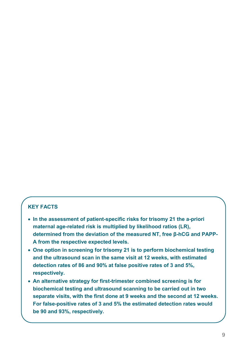- **In the assessment of patient-specific risks for trisomy 21 the a-priori maternal age-related risk is multiplied by likelihood ratios (LR), determined from the deviation of the measured NT, free β-hCG and PAPP-A from the respective expected levels.**
- **One option in screening for trisomy 21 is to perform biochemical testing and the ultrasound scan in the same visit at 12 weeks, with estimated detection rates of 86 and 90% at false positive rates of 3 and 5%, respectively.**
- **An alternative strategy for first-trimester combined screening is for biochemical testing and ultrasound scanning to be carried out in two separate visits, with the first done at 9 weeks and the second at 12 weeks. For false-positive rates of 3 and 5% the estimated detection rates would be 90 and 93%, respectively.**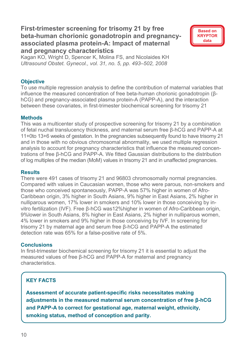# **First-trimester screening for trisomy 21 by free beta-human chorionic gonadotropin and pregnancyassociated plasma protein-A: Impact of maternal and pregnancy characteristics**



Kagan KO, Wright D, Spencer K, Molina FS, and Nicolaides KH *Ultrasound Obstet. Gynecol., vol. 31, no. 5, pp. 493–502, 2008* 

# **Objective**

To use multiple regression analysis to define the contribution of maternal variables that influence the measured concentration of free beta-human chorionic gonadotropin (βhCG) and pregnancy-associated plasma protein-A (PAPP-A), and the interaction between these covariates, in first-trimester biochemical screening for trisomy 21

#### **Methods**

This was a multicenter study of prospective screening for trisomy 21 by a combination of fetal nuchal translucency thickness, and maternal serum free β-hCG and PAPP-A at 11+0to 13+6 weeks of gestation. In the pregnancies subsequently found to have trisomy 21 and in those with no obvious chromosomal abnormality, we used multiple regression analysis to account for pregnancy characteristics that influence the measured concentrations of free β-hCG and PAPP-A. We fitted Gaussian distributions to the distribution of log multiples of the median (MoM) values in trisomy 21 and in unaffected pregnancies.

#### **Results**

There were 491 cases of trisomy 21 and 96803 chromosomally normal pregnancies. Compared with values in Caucasian women, those who were parous, non-smokers and those who conceived spontaneously, PAPP-A was 57% higher in women of Afro-Caribbean origin, 3% higher in South Asians, 9% higher in East Asians, 2% higher in nulliparous women, 17% lower in smokers and 10% lower in those conceiving by invitro fertilization (IVF). Free β-hCG was12%higher in women of Afro-Caribbean origin, 9%lower in South Asians, 8% higher in East Asians, 2% higher in nulliparous women, 4% lower in smokers and 9% higher in those conceiving by IVF. In screening for trisomy 21 by maternal age and serum free β-hCG and PAPP-A the estimated detection rate was 65% for a false-positive rate of 5%.

#### **Conclusions**

In first-trimester biochemical screening for trisomy 21 it is essential to adjust the measured values of free β-hCG and PAPP-A for maternal and pregnancy characteristics.

# **KEY FACTS**

**Assessment of accurate patient-specific risks necessitates making adjustments in the measured maternal serum concentration of free β-hCG and PAPP-A to correct for gestational age, maternal weight, ethnicity, smoking status, method of conception and parity.**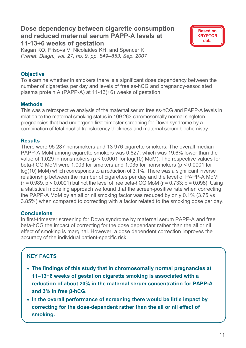# **Dose dependency between cigarette consumption and reduced maternal serum PAPP-A levels at 11-13+6 weeks of gestation**



Kagan KO, Frisova V, Nicolaides KH, and Spencer K *Prenat. Diagn., vol. 27, no. 9, pp. 849–853, Sep. 2007* 

# **Objective**

To examine whether in smokers there is a significant dose dependency between the number of cigarettes per day and levels of free ss-hCG and pregnancy-associated plasma protein A (PAPP-A) at 11-13(+6) weeks of gestation.

# **Methods**

This was a retrospective analysis of the maternal serum free ss-hCG and PAPP-A levels in relation to the maternal smoking status in 109 263 chromosomally normal singleton pregnancies that had undergone first-trimester screening for Down syndrome by a combination of fetal nuchal translucency thickness and maternal serum biochemistry.

# **Results**

There were 95 287 nonsmokers and 13 976 cigarette smokers. The overall median PAPP-A MoM among cigarette smokers was 0.827, which was 19.6% lower than the value of 1.029 in nonsmokers (p < 0.0001 for log(10) MoM). The respective values for beta-hCG MoM were 1.003 for smokers and 1.035 for nonsmokers (p < 0.0001 for log(10) MoM) which corresponds to a reduction of 3.1%. There was a significant inverse relationship between the number of cigarettes per day and the level of PAPP-A MoM  $(r = 0.989, p < 0.0001)$  but not the level of free beta-hCG MoM  $(r = 0.733; p = 0.098)$ . Using a statistical modeling approach we found that the screen-positive rate when correcting the PAPP-A MoM by an all or nil smoking factor was reduced by only 0.1% (3.75 vs 3.85%) when compared to correcting with a factor related to the smoking dose per day.

# **Conclusions**

In first-trimester screening for Down syndrome by maternal serum PAPP-A and free beta-hCG the impact of correcting for the dose dependant rather than the all or nil effect of smoking is marginal. However, a dose dependent correction improves the accuracy of the individual patient-specific risk.

- **The findings of this study that in chromosomally normal pregnancies at 11–13+6 weeks of gestation cigarette smoking is associated with a reduction of about 20% in the maternal serum concentration for PAPP-A and 3% in free β-hCG.**
- **In the overall performance of screening there would be little impact by correcting for the dose-dependent rather than the all or nil effect of smoking.**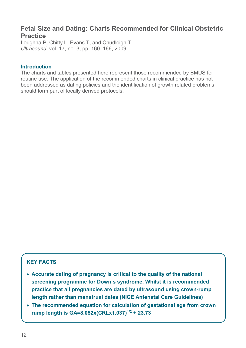# **Fetal Size and Dating: Charts Recommended for Clinical Obstetric Practice**

Loughna P, Chitty L, Evans T, and Chudleigh T *Ultrasound*, vol. 17, no. 3, pp. 160–166, 2009

#### **Introduction**

The charts and tables presented here represent those recommended by BMUS for routine use. The application of the recommended charts in clinical practice has not been addressed as dating policies and the identification of growth related problems should form part of locally derived protocols.

- **Accurate dating of pregnancy is critical to the quality of the national screening programme for Down's syndrome. Whilst it is recommended practice that all pregnancies are dated by ultrasound using crown-rump length rather than menstrual dates (NICE Antenatal Care Guidelines)**
- **The recommended equation for calculation of gestational age from crown rump length is GA=8.052x(CRLx1.037)1/2 + 23.73**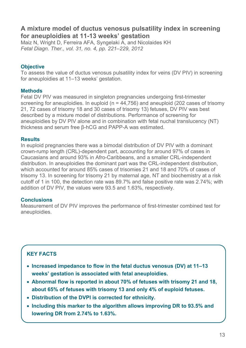# **A mixture model of ductus venosus pulsatility index in screening for aneuploidies at 11-13 weeks' gestation**

Maiz N, Wright D, Ferreira AFA, Syngelaki A, and Nicolaides KH *Fetal Diagn. Ther., vol. 31, no. 4, pp. 221–229, 2012* 

# **Objective**

To assess the value of ductus venosus pulsatility index for veins (DV PIV) in screening for aneuploidies at 11–13 weeks' gestation.

# **Methods**

Fetal DV PIV was measured in singleton pregnancies undergoing first-trimester screening for aneuploidies. In euploid ( $n = 44,756$ ) and aneuploid (202 cases of trisomy 21, 72 cases of trisomy 18 and 30 cases of trisomy 13) fetuses, DV PIV was best described by a mixture model of distributions. Performance of screening for aneuploidies by DV PIV alone and in combination with fetal nuchal translucency (NT) thickness and serum free β-hCG and PAPP-A was estimated.

#### **Results**

In euploid pregnancies there was a bimodal distribution of DV PIV with a dominant crown-rump length (CRL)-dependent part, accounting for around 97% of cases in Caucasians and around 93% in Afro-Caribbeans, and a smaller CRL-independent distribution. In aneuploidies the dominant part was the CRL-independent distribution, which accounted for around 85% cases of trisomies 21 and 18 and 70% of cases of trisomy 13. In screening for trisomy 21 by maternal age, NT and biochemistry at a risk cutoff of 1 in 100, the detection rate was 89.7% and false positive rate was 2.74%; with addition of DV PIV, the values were 93.5 and 1.63%, respectively.

# **Conclusions**

Measurement of DV PIV improves the performance of first-trimester combined test for aneuploidies.

- **Increased impedance to flow in the fetal ductus venosus (DV) at 11–13 weeks' gestation is associated with fetal aneuploidies.**
- **Abnormal flow is reported in about 70% of fetuses with trisomy 21 and 18, about 65% of fetuses with trisomy 13 and only 4% of euploid fetuses.**
- **Distribution of the DVPI is corrected for ethnicity.**
- **Including this marker to the algorithm allows improving DR to 93.5% and lowering DR from 2.74% to 1.63%.**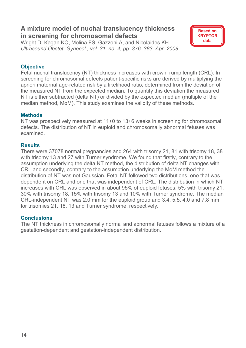# **A mixture model of nuchal translucency thickness in screening for chromosomal defects**

Wright D, Kagan KO, Molina FS, Gazzoni A, and Nicolaides KH *Ultrasound Obstet. Gynecol., vol. 31, no. 4, pp. 376–383, Apr. 2008* 

# **Objective**

Fetal nuchal translucency (NT) thickness increases with crown–rump length (CRL). In screening for chromosomal defects patient-specific risks are derived by multiplying the apriori maternal age-related risk by a likelihood ratio, determined from the deviation of the measured NT from the expected median. To quantify this deviation the measured NT is either subtracted (delta NT) or divided by the expected median (multiple of the median method, MoM). This study examines the validity of these methods.

**Based on KRYPTOR data** 

# **Methods**

NT was prospectively measured at 11+0 to 13+6 weeks in screening for chromosomal defects. The distribution of NT in euploid and chromosomally abnormal fetuses was examined.

#### **Results**

There were 37078 normal pregnancies and 264 with trisomy 21, 81 with trisomy 18, 38 with trisomy 13 and 27 with Turner syndrome. We found that firstly, contrary to the assumption underlying the delta NT method, the distribution of delta NT changes with CRL and secondly, contrary to the assumption underlying the MoM method the distribution of NT was not Gaussian. Fetal NT followed two distributions, one that was dependent on CRL and one that was independent of CRL. The distribution in which NT increases with CRL was observed in about 95% of euploid fetuses, 5% with trisomy 21, 30% with trisomy 18, 15% with trisomy 13 and 10% with Turner syndrome. The median CRL-independent NT was 2.0 mm for the euploid group and 3.4, 5.5, 4.0 and 7.8 mm for trisomies 21, 18, 13 and Turner syndrome, respectively.

# **Conclusions**

The NT thickness in chromosomally normal and abnormal fetuses follows a mixture of a gestation-dependent and gestation-independent distribution.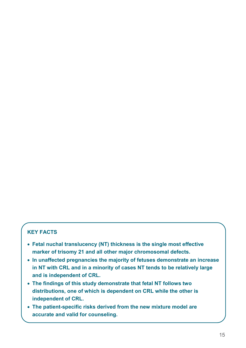- **Fetal nuchal translucency (NT) thickness is the single most effective marker of trisomy 21 and all other major chromosomal defects.**
- **In unaffected pregnancies the majority of fetuses demonstrate an increase in NT with CRL and in a minority of cases NT tends to be relatively large and is independent of CRL.**
- **The findings of this study demonstrate that fetal NT follows two distributions, one of which is dependent on CRL while the other is independent of CRL.**
- **The patient-specific risks derived from the new mixture model are accurate and valid for counseling.**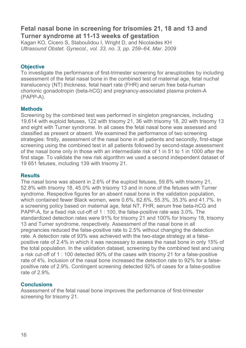# **Fetal nasal bone in screening for trisomies 21, 18 and 13 and Turner syndrome at 11-13 weeks of gestation**

Kagan KO, Cicero S, Staboulidou I, Wright D, and Nicolaides KH *Ultrasound Obstet. Gynecol., vol. 33, no. 3, pp. 259–64, Mar. 2009* 

# **Objective**

To investigate the performance of first-trimester screening for aneuploidies by including assessment of the fetal nasal bone in the combined test of maternal age, fetal nuchal translucency (NT) thickness, fetal heart rate (FHR) and serum free beta-human chorionic gonadotropin (beta-hCG) and pregnancy-associated plasma protein-A (PAPP-A).

#### **Methods**

Screening by the combined test was performed in singleton pregnancies, including 19,614 with euploid fetuses, 122 with trisomy 21, 36 with trisomy 18, 20 with trisomy 13 and eight with Turner syndrome. In all cases the fetal nasal bone was assessed and classified as present or absent. We examined the performance of two screening strategies: firstly, assessment of the nasal bone in all patients and secondly, first-stage screening using the combined test in all patients followed by second-stage assessment of the nasal bone only in those with an intermediate risk of 1 in 51 to 1 in 1000 after the first stage. To validate the new risk algorithm we used a second independent dataset of 19 651 fetuses, including 139 with trisomy 21.

#### **Results**

The nasal bone was absent in 2.6% of the euploid fetuses, 59.8% with trisomy 21, 52.8% with trisomy 18, 45.0% with trisomy 13 and in none of the fetuses with Turner syndrome. Respective figures for an absent nasal bone in the validation population, which contained fewer Black women, were 0.6%, 62.6%, 55.3%, 35.3% and 41.7%. In a screening policy based on maternal age, fetal NT, FHR, serum free beta-hCG and PAPP-A, for a fixed risk cut-off of 1 : 100, the false-positive rate was 3.0%. The standardized detection rates were 91% for trisomy 21 and 100% for trisomy 18, trisomy 13 and Turner syndrome, respectively. Assessment of the nasal bone in all pregnancies reduced the false-positive rate to 2.5% without changing the detection rate. A detection rate of 93% was achieved with the two-stage strategy at a falsepositive rate of 2.4% in which it was necessary to assess the nasal bone in only 15% of the total population. In the validation dataset, screening by the combined test and using a risk cut-off of 1 : 100 detected 90% of the cases with trisomy 21 for a false-positive rate of 4%. Inclusion of the nasal bone increased the detection rate to 92% for a falsepositive rate of 2.9%. Contingent screening detected 92% of cases for a false-positive rate of 2.9%.

#### **Conclusions**

Assessment of the fetal nasal bone improves the performance of first-trimester screening for trisomy 21.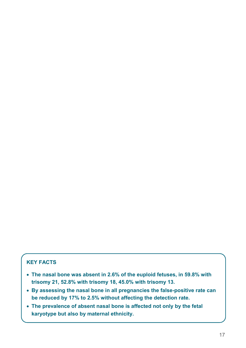- **The nasal bone was absent in 2.6% of the euploid fetuses, in 59.8% with trisomy 21, 52.8% with trisomy 18, 45.0% with trisomy 13.**
- **By assessing the nasal bone in all pregnancies the false-positive rate can be reduced by 17% to 2.5% without affecting the detection rate.**
- **The prevalence of absent nasal bone is affected not only by the fetal karyotype but also by maternal ethnicity.**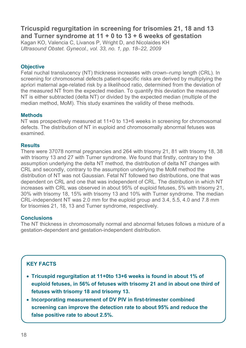# **Tricuspid regurgitation in screening for trisomies 21, 18 and 13 and Turner syndrome at 11 + 0 to 13 + 6 weeks of gestation**

Kagan KO, Valencia C, Livanos P, Wright D, and Nicolaides KH *Ultrasound Obstet. Gynecol., vol. 33, no. 1, pp. 18–22, 2009* 

# **Objective**

Fetal nuchal translucency (NT) thickness increases with crown–rump length (CRL). In screening for chromosomal defects patient-specific risks are derived by multiplying the apriori maternal age-related risk by a likelihood ratio, determined from the deviation of the measured NT from the expected median. To quantify this deviation the measured NT is either subtracted (delta NT) or divided by the expected median (multiple of the median method, MoM). This study examines the validity of these methods.

#### **Methods**

NT was prospectively measured at 11+0 to 13+6 weeks in screening for chromosomal defects. The distribution of NT in euploid and chromosomally abnormal fetuses was examined.

#### **Results**

There were 37078 normal pregnancies and 264 with trisomy 21, 81 with trisomy 18, 38 with trisomy 13 and 27 with Turner syndrome. We found that firstly, contrary to the assumption underlying the delta NT method, the distribution of delta NT changes with CRL and secondly, contrary to the assumption underlying the MoM method the distribution of NT was not Gaussian. Fetal NT followed two distributions, one that was dependent on CRL and one that was independent of CRL. The distribution in which NT increases with CRL was observed in about 95% of euploid fetuses, 5% with trisomy 21, 30% with trisomy 18, 15% with trisomy 13 and 10% with Turner syndrome. The median CRL-independent NT was 2.0 mm for the euploid group and 3.4, 5.5, 4.0 and 7.8 mm for trisomies 21, 18, 13 and Turner syndrome, respectively.

# **Conclusions**

The NT thickness in chromosomally normal and abnormal fetuses follows a mixture of a gestation-dependent and gestation-independent distribution.

- **Tricuspid regurgitation at 11+0to 13+6 weeks is found in about 1% of euploid fetuses, in 56% of fetuses with trisomy 21 and in about one third of fetuses with trisomy 18 and trisomy 13.**
- **Incorporating measurement of DV PIV in first-trimester combined screening can improve the detection rate to about 95% and reduce the false positive rate to about 2.5%.**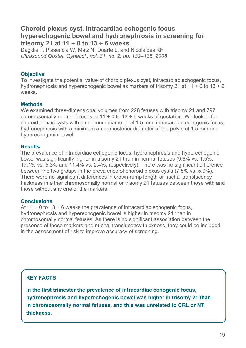# **Choroid plexus cyst, intracardiac echogenic focus, hyperechogenic bowel and hydronephrosis in screening for trisomy 21 at 11 + 0 to 13 + 6 weeks**

Dagklis T, Plasencia W, Maiz N, Duarte L, and Nicolaides KH *Ultrasound Obstet. Gynecol., vol. 31, no. 2, pp. 132–135, 2008* 

# **Objective**

To investigate the potential value of choroid plexus cyst, intracardiac echogenic focus, hydronephrosis and hyperechogenic bowel as markers of trisomy 21 at 11 + 0 to 13 + 6 weeks.

# **Methods**

We examined three-dimensional volumes from 228 fetuses with trisomy 21 and 797 chromosomally normal fetuses at  $11 + 0$  to  $13 + 6$  weeks of gestation. We looked for choroid plexus cysts with a minimum diameter of 1.5 mm, intracardiac echogenic focus, hydronephrosis with a minimum anteroposterior diameter of the pelvis of 1.5 mm and hyperechogenic bowel.

#### **Results**

The prevalence of intracardiac echogenic focus, hydronephrosis and hyperechogenic bowel was significantly higher in trisomy 21 than in normal fetuses (9.6% vs. 1.5%, 17.1% vs. 5.3% and 11.4% vs. 2.4%, respectively). There was no significant difference between the two groups in the prevalence of choroid plexus cysts (7.5% vs. 5.0%). There were no significant differences in crown-rump length or nuchal translucency thickness in either chromosomally normal or trisomy 21 fetuses between those with and those without any one of the markers.

# **Conclusions**

At  $11 + 0$  to  $13 + 6$  weeks the prevalence of intracardiac echogenic focus. hydronephrosis and hyperechogenic bowel is higher in trisomy 21 than in chromosomally normal fetuses. As there is no significant association between the presence of these markers and nuchal translucency thickness, they could be included in the assessment of risk to improve accuracy of screening.

# **KEY FACTS**

**In the first trimester the prevalence of intracardiac echogenic focus, hydronephrosis and hyperechogenic bowel was higher in trisomy 21 than in chromosomally normal fetuses, and this was unrelated to CRL or NT thickness.**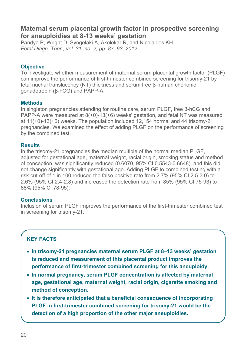# **Maternal serum placental growth factor in prospective screening for aneuploidies at 8-13 weeks' gestation**

Pandya P, Wright D, Syngelaki A, Akolekar R, and Nicolaides KH *Fetal Diagn. Ther., vol. 31, no. 2, pp. 87–93, 2012* 

# **Objective**

To investigate whether measurement of maternal serum placental growth factor (PLGF) can improve the performance of first-trimester combined screening for trisomy-21 by fetal nuchal translucency (NT) thickness and serum free β-human chorionic gonadotropin (β-hCG) and PAPP-A.

# **Methods**

In singleton pregnancies attending for routine care, serum PLGF, free β-hCG and PAPP-A were measured at 8(+0)-13(+6) weeks' gestation, and fetal NT was measured at 11(+0)-13(+6) weeks. The population included 12,154 normal and 44 trisomy-21 pregnancies. We examined the effect of adding PLGF on the performance of screening by the combined test.

#### **Results**

In the trisomy-21 pregnancies the median multiple of the normal median PLGF, adjusted for gestational age, maternal weight, racial origin, smoking status and method of conception, was significantly reduced (0.6070, 95% CI 0.5543-0.6648), and this did not change significantly with gestational age. Adding PLGF to combined testing with a risk cut-off of 1 in 100 reduced the false positive rate from 2.7% (95% CI 2.5-3.0) to 2.6% (95% CI 2.4-2.8) and increased the detection rate from 85% (95% CI 75-93) to 88% (95% CI 78-95).

#### **Conclusions**

Inclusion of serum PLGF improves the performance of the first-trimester combined test in screening for trisomy-21.

- **In trisomy-21 pregnancies maternal serum PLGF at 8–13 weeks' gestation is reduced and measurement of this placental product improves the performance of first-trimester combined screening for this aneuploidy.**
- **In normal pregnancy, serum PLGF concentration is affected by maternal age, gestational age, maternal weight, racial origin, cigarette smoking and method of conception.**
- **It is therefore anticipated that a beneficial consequence of incorporating PLGF in first-trimester combined screening for trisomy-21 would be the detection of a high proportion of the other major aneuploidies.**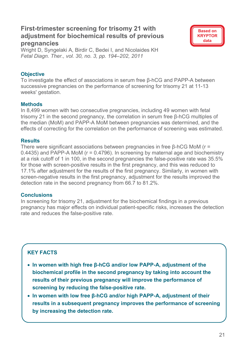# **First-trimester screening for trisomy 21 with adjustment for biochemical results of previous pregnancies**



Wright D, Syngelaki A, Birdir C, Bedei I, and Nicolaides KH *Fetal Diagn. Ther., vol. 30, no. 3, pp. 194–202, 2011* 

# **Objective**

To investigate the effect of associations in serum free β-hCG and PAPP-A between successive pregnancies on the performance of screening for trisomy 21 at 11-13 weeks' gestation.

# **Methods**

In 8,499 women with two consecutive pregnancies, including 49 women with fetal trisomy 21 in the second pregnancy, the correlation in serum free β-hCG multiples of the median (MoM) and PAPP-A MoM between pregnancies was determined, and the effects of correcting for the correlation on the performance of screening was estimated.

# **Results**

There were significant associations between pregnancies in free β-hCG MoM (r = 0.4435) and PAPP-A MoM ( $r = 0.4796$ ). In screening by maternal age and biochemistry at a risk cutoff of 1 in 100, in the second pregnancies the false-positive rate was 35.5% for those with screen-positive results in the first pregnancy, and this was reduced to 17.1% after adjustment for the results of the first pregnancy. Similarly, in women with screen-negative results in the first pregnancy, adjustment for the results improved the detection rate in the second pregnancy from 66.7 to 81.2%.

# **Conclusions**

In screening for trisomy 21, adjustment for the biochemical findings in a previous pregnancy has major effects on individual patient-specific risks, increases the detection rate and reduces the false-positive rate.

- **In women with high free β-hCG and/or low PAPP-A, adjustment of the biochemical profile in the second pregnancy by taking into account the results of their previous pregnancy will improve the performance of screening by reducing the false-positive rate.**
- **In women with low free β-hCG and/or high PAPP-A, adjustment of their results in a subsequent pregnancy improves the performance of screening by increasing the detection rate.**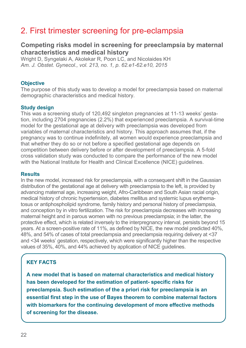# 2. First trimester screening for pre-eclampsia

# **Competing risks model in screening for preeclampsia by maternal characteristics and medical history**

Wright D, Syngelaki A, Akolekar R, Poon LC, and Nicolaides KH *Am. J. Obstet. Gynecol., vol. 213, no. 1, p. 62.e1-62.e10, 2015* 

#### **Objective**

The purpose of this study was to develop a model for preeclampsia based on maternal demographic characteristics and medical history.

#### **Study design**

This was a screening study of 120,492 singleton pregnancies at 11-13 weeks' gestation, including 2704 pregnancies (2.2%) that experienced preeclampsia. A survival-time model for the gestational age at delivery with preeclampsia was developed from variables of maternal characteristics and history. This approach assumes that, if the pregnancy was to continue indefinitely, all women would experience preeclampsia and that whether they do so or not before a specified gestational age depends on competition between delivery before or after development of preeclampsia. A 5-fold cross validation study was conducted to compare the performance of the new model with the National Institute for Health and Clinical Excellence (NICE) guidelines.

#### **Results**

In the new model, increased risk for preeclampsia, with a consequent shift in the Gaussian distribution of the gestational age at delivery with preeclampsia to the left, is provided by advancing maternal age, increasing weight, Afro-Caribbean and South Asian racial origin, medical history of chronic hypertension, diabetes mellitus and systemic lupus erythematosus or antiphospholipid syndrome, family history and personal history of preeclampsia, and conception by in vitro fertilization. The risk for preeclampsia decreases with increasing maternal height and in parous women with no previous preeclampsia; in the latter, the protective effect, which is related inversely to the interpregnancy interval, persists beyond 15 years. At a screen-positive rate of 11%, as defined by NICE, the new model predicted 40%, 48%, and 54% of cases of total preeclampsia and preeclampsia requiring delivery at <37 and <34 weeks' gestation, respectively, which were significantly higher than the respective values of 35%, 40%, and 44% achieved by application of NICE guidelines.

# **KEY FACTS**

**A new model that is based on maternal characteristics and medical history has been developed for the estimation of patient- specific risks for preeclampsia. Such estimation of the a priori risk for preeclampsia is an essential first step in the use of Bayes theorem to combine maternal factors with biomarkers for the continuing development of more effective methods of screening for the disease.**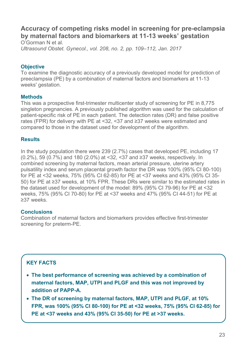# **Accuracy of competing risks model in screening for pre-eclampsia by maternal factors and biomarkers at 11-13 weeks' gestation**  O'Gorman N et al.

*Ultrasound Obstet. Gynecol., vol. 208, no. 2, pp. 109–112, Jan. 2017* 

# **Objective**

To examine the diagnostic accuracy of a previously developed model for prediction of preeclampsia (PE) by a combination of maternal factors and biomarkers at 11-13 weeks' gestation.

# **Methods**

This was a prospective first-trimester multicenter study of screening for PE in 8,775 singleton pregnancies. A previously published algorithm was used for the calculation of patient-specific risk of PE in each patient. The detection rates (DR) and false positive rates (FPR) for delivery with PE at <32, <37 and ≥37 weeks were estimated and compared to those in the dataset used for development of the algorithm.

# **Results**

In the study population there were 239 (2.7%) cases that developed PE, including 17 (0.2%), 59 (0.7%) and 180 (2.0%) at <32, <37 and ≥37 weeks, respectively. In combined screening by maternal factors, mean arterial pressure, uterine artery pulsatility index and serum placental growth factor the DR was 100% (95% CI 80-100) for PE at <32 weeks, 75% (95% CI 62-85) for PE at <37 weeks and 43% (95% CI 35- 50) for PE at ≥37 weeks, at 10% FPR. These DRs were similar to the estimated rates in the dataset used for development of the model: 89% (95% CI 79-96) for PE at <32 weeks, 75% (95% CI 70-80) for PE at <37 weeks and 47% (95% CI 44-51) for PE at ≥37 weeks.

# **Conclusions**

Combination of maternal factors and biomarkers provides effective first-trimester screening for preterm-PE.

- **The best performance of screening was achieved by a combination of maternal factors, MAP, UTPI and PLGF and this was not improved by addition of PAPP-A.**
- **The DR of screening by maternal factors, MAP, UTPI and PLGF, at 10% FPR, was 100% (95% CI 80-100) for PE at <32 weeks, 75% (95% CI 62-85) for PE at <37 weeks and 43% (95% CI 35-50) for PE at >37 weeks.**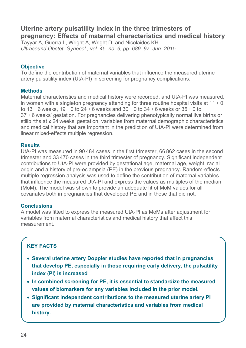# **Uterine artery pulsatility index in the three trimesters of pregnancy: Effects of maternal characteristics and medical history**

Tayyar A, Guerra L, Wright A, Wright D, and Nicolaides KH *Ultrasound Obstet. Gynecol., vol. 45, no. 6, pp. 689–97, Jun. 2015* 

# **Objective**

To define the contribution of maternal variables that influence the measured uterine artery pulsatility index (UtA-PI) in screening for pregnancy complications.

# **Methods**

Maternal characteristics and medical history were recorded, and UtA-PI was measured, in women with a singleton pregnancy attending for three routine hospital visits at  $11 + 0$ to  $13 + 6$  weeks,  $19 + 0$  to  $24 + 6$  weeks and  $30 + 0$  to  $34 + 6$  weeks or  $35 + 0$  to 37 + 6 weeks' gestation. For pregnancies delivering phenotypically normal live births or stillbirths at ≥ 24 weeks' gestation, variables from maternal demographic characteristics and medical history that are important in the prediction of UtA-PI were determined from linear mixed-effects multiple regression.

#### **Results**

UtA-PI was measured in 90 484 cases in the first trimester, 66 862 cases in the second trimester and 33 470 cases in the third trimester of pregnancy. Significant independent contributions to UtA-PI were provided by gestational age, maternal age, weight, racial origin and a history of pre-eclampsia (PE) in the previous pregnancy. Random-effects multiple regression analysis was used to define the contribution of maternal variables that influence the measured UtA-PI and express the values as multiples of the median (MoM). The model was shown to provide an adequate fit of MoM values for all covariates both in pregnancies that developed PE and in those that did not.

# **Conclusions**

A model was fitted to express the measured UtA-PI as MoMs after adjustment for variables from maternal characteristics and medical history that affect this measurement.

- **Several uterine artery Doppler studies have reported that in pregnancies that develop PE, especially in those requiring early delivery, the pulsatility index (PI) is increased**
- **In combined screening for PE, it is essential to standardize the measured values of biomarkers for any variables included in the prior model.**
- **Significant independent contributions to the measured uterine artery PI are provided by maternal characteristics and variables from medical history.**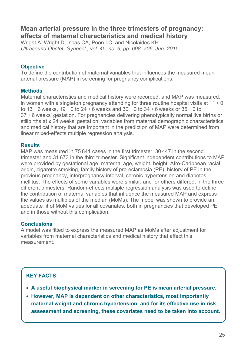# **Mean arterial pressure in the three trimesters of pregnancy: effects of maternal characteristics and medical history**

Wright A, Wright D, Ispas CA, Poon LC, and Nicolaides KH *Ultrasound Obstet. Gynecol., vol. 45, no. 6, pp. 698–706, Jun. 2015* 

# **Objective**

To define the contribution of maternal variables that influences the measured mean arterial pressure (MAP) in screening for pregnancy complications.

# **Methods**

Maternal characteristics and medical history were recorded, and MAP was measured, in women with a singleton pregnancy attending for three routine hospital visits at  $11 + 0$ to  $13 + 6$  weeks,  $19 + 0$  to  $24 + 6$  weeks and  $30 + 0$  to  $34 + 6$  weeks or  $35 + 0$  to 37 + 6 weeks' gestation. For pregnancies delivering phenotypically normal live births or stillbirths at ≥ 24 weeks' gestation, variables from maternal demographic characteristics and medical history that are important in the prediction of MAP were determined from linear mixed-effects multiple regression analysis.

# **Results**

MAP was measured in 75 841 cases in the first trimester, 30 447 in the second trimester and 31 673 in the third trimester. Significant independent contributions to MAP were provided by gestational age, maternal age, weight, height, Afro-Caribbean racial origin, cigarette smoking, family history of pre-eclampsia (PE), history of PE in the previous pregnancy, interpregnancy interval, chronic hypertension and diabetes mellitus. The effects of some variables were similar, and for others differed, in the three different trimesters. Random-effects multiple regression analysis was used to define the contribution of maternal variables that influence the measured MAP and express the values as multiples of the median (MoMs). The model was shown to provide an adequate fit of MoM values for all covariates, both in pregnancies that developed PE and in those without this complication.

# **Conclusions**

A model was fitted to express the measured MAP as MoMs after adjustment for variables from maternal characteristics and medical history that affect this measurement.

- **A useful biophysical marker in screening for PE is mean arterial pressure.**
- **However, MAP is dependent on other characteristics, most importantly maternal weight and chronic hypertension, and for its effective use in risk assessment and screening, these covariates need to be taken into account.**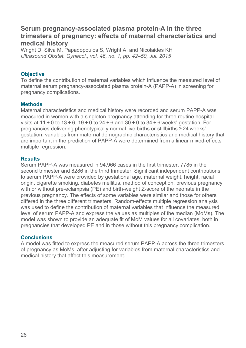# **Serum pregnancy-associated plasma protein-A in the three trimesters of pregnancy: effects of maternal characteristics and medical history**

Wright D, Silva M, Papadopoulos S, Wright A, and Nicolaides KH *Ultrasound Obstet. Gynecol., vol. 46, no. 1, pp. 42–50, Jul. 2015* 

# **Objective**

To define the contribution of maternal variables which influence the measured level of maternal serum pregnancy-associated plasma protein-A (PAPP-A) in screening for pregnancy complications.

#### **Methods**

Maternal characteristics and medical history were recorded and serum PAPP-A was measured in women with a singleton pregnancy attending for three routine hospital visits at 11 + 0 to 13 + 6, 19 + 0 to 24 + 6 and 30 + 0 to 34 + 6 weeks' gestation. For pregnancies delivering phenotypically normal live births or stillbirths ≥ 24 weeks' gestation, variables from maternal demographic characteristics and medical history that are important in the prediction of PAPP-A were determined from a linear mixed-effects multiple regression.

#### **Results**

Serum PAPP-A was measured in 94,966 cases in the first trimester, 7785 in the second trimester and 8286 in the third trimester. Significant independent contributions to serum PAPP-A were provided by gestational age, maternal weight, height, racial origin, cigarette smoking, diabetes mellitus, method of conception, previous pregnancy with or without pre-eclampsia (PE) and birth-weight Z-score of the neonate in the previous pregnancy. The effects of some variables were similar and those for others differed in the three different trimesters. Random-effects multiple regression analysis was used to define the contribution of maternal variables that influence the measured level of serum PAPP-A and express the values as multiples of the median (MoMs). The model was shown to provide an adequate fit of MoM values for all covariates, both in pregnancies that developed PE and in those without this pregnancy complication.

#### **Conclusions**

A model was fitted to express the measured serum PAPP-A across the three trimesters of pregnancy as MoMs, after adjusting for variables from maternal characteristics and medical history that affect this measurement.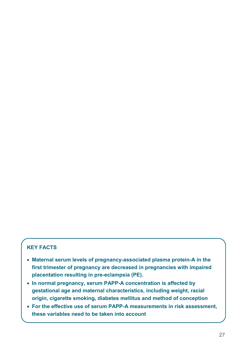- **Maternal serum levels of pregnancy-associated plasma protein-A in the first trimester of pregnancy are decreased in pregnancies with impaired placentation resulting in pre-eclampsia (PE).**
- **In normal pregnancy, serum PAPP-A concentration is affected by gestational age and maternal characteristics, including weight, racial origin, cigarette smoking, diabetes mellitus and method of conception**
- **For the effective use of serum PAPP-A measurements in risk assessment, these variables need to be taken into account**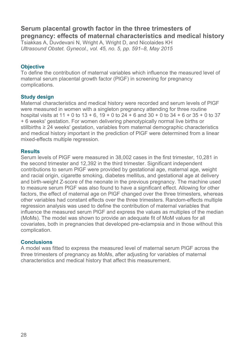# **Serum placental growth factor in the three trimesters of pregnancy: effects of maternal characteristics and medical history**

Tsiakkas A, Duvdevani N, Wright A, Wright D, and Nicolaides KH *Ultrasound Obstet. Gynecol., vol. 45, no. 5, pp. 591–8, May 2015* 

# **Objective**

To define the contribution of maternal variables which influence the measured level of maternal serum placental growth factor (PlGF) in screening for pregnancy complications.

#### **Study design**

Maternal characteristics and medical history were recorded and serum levels of PlGF were measured in women with a singleton pregnancy attending for three routine hospital visits at  $11 + 0$  to  $13 + 6$ ,  $19 + 0$  to  $24 + 6$  and  $30 + 0$  to  $34 + 6$  or  $35 + 0$  to  $37$ + 6 weeks' gestation. For women delivering phenotypically normal live births or stillbirths ≥ 24 weeks' gestation, variables from maternal demographic characteristics and medical history important in the prediction of PlGF were determined from a linear mixed-effects multiple regression.

#### **Results**

Serum levels of PlGF were measured in 38,002 cases in the first trimester, 10,281 in the second trimester and 12,392 in the third trimester. Significant independent contributions to serum PlGF were provided by gestational age, maternal age, weight and racial origin, cigarette smoking, diabetes mellitus, and gestational age at delivery and birth-weight Z-score of the neonate in the previous pregnancy. The machine used to measure serum PlGF was also found to have a significant effect. Allowing for other factors, the effect of maternal age on PlGF changed over the three trimesters, whereas other variables had constant effects over the three trimesters. Random-effects multiple regression analysis was used to define the contribution of maternal variables that influence the measured serum PlGF and express the values as multiples of the median (MoMs). The model was shown to provide an adequate fit of MoM values for all covariates, both in pregnancies that developed pre-eclampsia and in those without this complication.

# **Conclusions**

A model was fitted to express the measured level of maternal serum PlGF across the three trimesters of pregnancy as MoMs, after adjusting for variables of maternal characteristics and medical history that affect this measurement.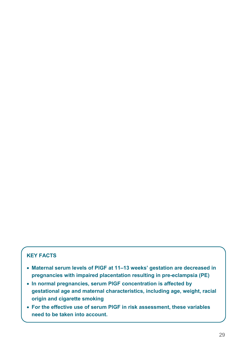- **Maternal serum levels of PlGF at 11–13 weeks' gestation are decreased in pregnancies with impaired placentation resulting in pre-eclampsia (PE)**
- **In normal pregnancies, serum PlGF concentration is affected by gestational age and maternal characteristics, including age, weight, racial origin and cigarette smoking**
- **For the effective use of serum PlGF in risk assessment, these variables need to be taken into account.**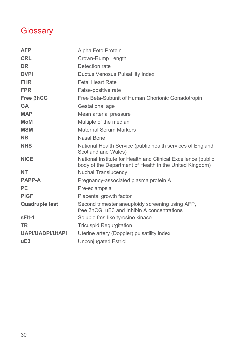# **Glossary**

| <b>AFP</b>              | Alpha Feto Protein                                                                                                       |
|-------------------------|--------------------------------------------------------------------------------------------------------------------------|
| <b>CRL</b>              | Crown-Rump Length                                                                                                        |
| <b>DR</b>               | Detection rate                                                                                                           |
| <b>DVPI</b>             | Ductus Venosus Pulsatility Index                                                                                         |
| <b>FHR</b>              | <b>Fetal Heart Rate</b>                                                                                                  |
| <b>FPR</b>              | False-positive rate                                                                                                      |
| <b>Free BhCG</b>        | Free Beta-Subunit of Human Chorionic Gonadotropin                                                                        |
| <b>GA</b>               | Gestational age                                                                                                          |
| <b>MAP</b>              | Mean arterial pressure                                                                                                   |
| <b>MoM</b>              | Multiple of the median                                                                                                   |
| <b>MSM</b>              | <b>Maternal Serum Markers</b>                                                                                            |
| <b>NB</b>               | Nasal Bone                                                                                                               |
| <b>NHS</b>              | National Health Service (public health services of England,<br>Scotland and Wales)                                       |
| <b>NICE</b>             | National Institute for Health and Clinical Excellence (public<br>body of the Department of Health in the United Kingdom) |
| <b>NT</b>               | <b>Nuchal Translucency</b>                                                                                               |
| <b>PAPP-A</b>           | Pregnancy-associated plasma protein A                                                                                    |
| <b>PE</b>               | Pre-eclampsia                                                                                                            |
| <b>PIGF</b>             | Placental growth factor                                                                                                  |
| <b>Quadruple test</b>   | Second trimester aneuploidy screening using AFP,<br>free BhCG, uE3 and Inhibin A concentrations                          |
| sFlt-1                  | Soluble fms-like tyrosine kinase                                                                                         |
| <b>TR</b>               | <b>Tricuspid Regurgitation</b>                                                                                           |
| <b>UAPI/UADPI/UtAPI</b> | Uterine artery (Doppler) pulsatility index                                                                               |
| uE3                     | <b>Unconjugated Estriol</b>                                                                                              |